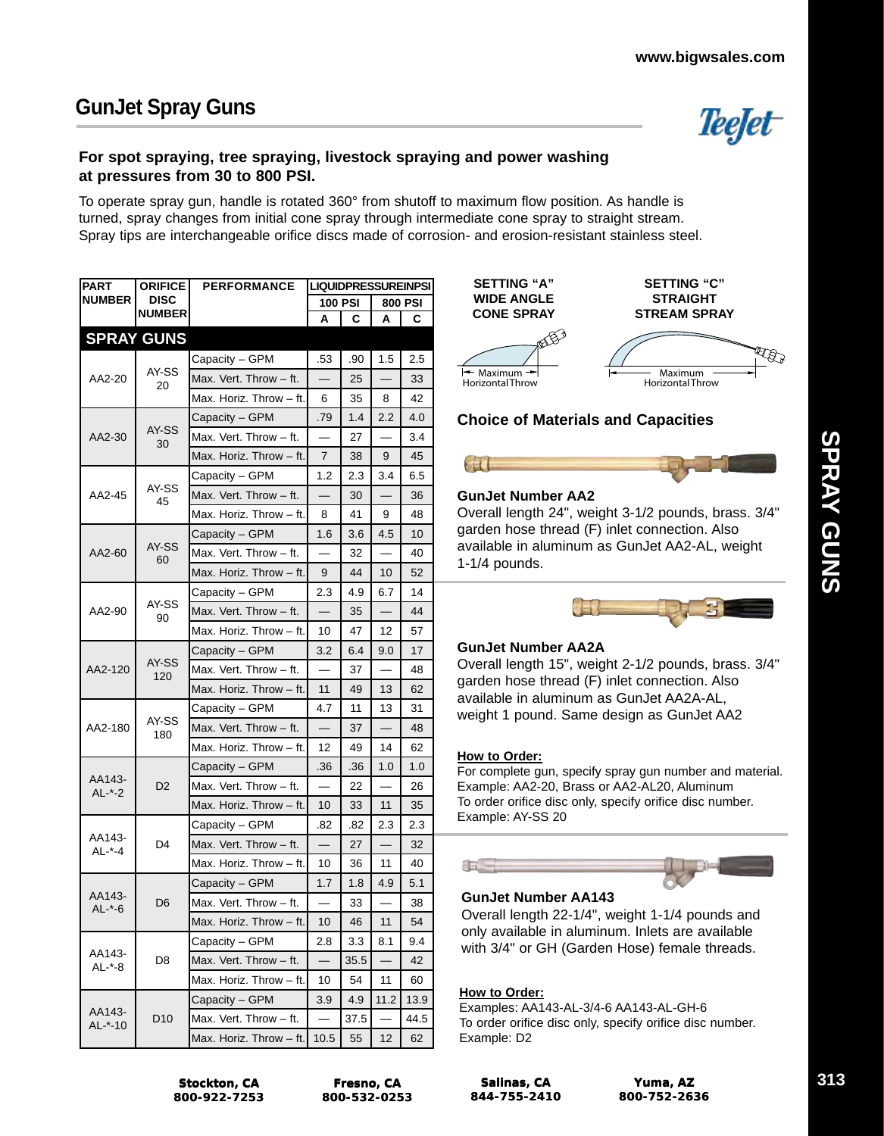

## **For spot spraying, tree spraying, livestock spraying and power washing at pressures from 30 to 800 PSI.**

To operate spray gun, handle is rotated 360° from shutoff to maximum flow position. As handle is turned, spray changes from initial cone spray through intermediate cone spray to straight stream. Spray tips are interchangeable orifice discs made of corrosion- and erosion-resistant stainless steel.

| <b>PART</b>         | <b>ORIFICE</b>                                                                                                                         | <b>PERFORMANCE</b>      | <b>LIQUIDPRESSUREINPSI</b> |      |      |         |  |  |
|---------------------|----------------------------------------------------------------------------------------------------------------------------------------|-------------------------|----------------------------|------|------|---------|--|--|
| <b>NUMBER</b>       | <b>DISC</b>                                                                                                                            |                         | <b>100 PSI</b>             |      |      | 800 PSI |  |  |
|                     | <b>NUMBER</b>                                                                                                                          |                         | А                          | C    | Α    | C       |  |  |
|                     | <b>SPRAY GUNS</b>                                                                                                                      |                         |                            |      |      |         |  |  |
|                     |                                                                                                                                        | Capacity - GPM          | .53                        | .90  | 1.5  | 2.5     |  |  |
| AA2-20              | AY-SS<br>20                                                                                                                            | Max. Vert. Throw - ft.  |                            | 25   |      | 33      |  |  |
|                     |                                                                                                                                        | Max. Horiz. Throw - ft. | 6                          | 35   | 8    | 42      |  |  |
|                     |                                                                                                                                        | Capacity - GPM          | .79                        | 1.4  | 2.2  | 4.0     |  |  |
| AA2-30              | AY-SS<br>30                                                                                                                            | Max. Vert. Throw - ft.  |                            | 27   |      | 3.4     |  |  |
|                     |                                                                                                                                        | Max. Horiz. Throw - ft. | $\overline{7}$             | 38   | 9    | 45      |  |  |
|                     |                                                                                                                                        | Capacity - GPM          | 1.2                        | 2.3  | 3.4  | 6.5     |  |  |
| AA2-45              | AY-SS<br>45                                                                                                                            | Max. Vert. Throw - ft.  |                            | 30   |      | 36      |  |  |
|                     |                                                                                                                                        | Max. Horiz. Throw - ft. | 8                          | 41   | 9    | 48      |  |  |
|                     |                                                                                                                                        | Capacity - GPM          | 1.6                        | 3.6  | 4.5  | 10      |  |  |
| AA2-60              | AY-SS<br>60                                                                                                                            | Max. Vert. Throw - ft.  | $\overline{\phantom{0}}$   | 32   |      | 40      |  |  |
|                     |                                                                                                                                        | Max. Horiz. Throw - ft. | 9                          | 44   | 10   | 52      |  |  |
|                     |                                                                                                                                        | Capacity - GPM          | 2.3                        | 4.9  | 6.7  | 14      |  |  |
| AA2-90              |                                                                                                                                        | Max. Vert. Throw - ft.  |                            | 35   |      | 44      |  |  |
|                     |                                                                                                                                        | Max. Horiz. Throw - ft. | 10                         | 47   | 12   | 57      |  |  |
|                     | Capacity – GPM                                                                                                                         | 3.2                     | 6.4                        | 9.0  | 17   |         |  |  |
| AA2-120             | AY-SS                                                                                                                                  | Max. Vert. Throw - ft.  | $\overline{\phantom{0}}$   | 37   |      | 48      |  |  |
|                     |                                                                                                                                        | Max. Horiz. Throw - ft. | 11                         | 49   | 13   | 62      |  |  |
|                     |                                                                                                                                        | Capacity – GPM          | 4.7                        | 11   | 13   | 31      |  |  |
| AA2-180             | AY-SS                                                                                                                                  | Max. Vert. Throw - ft.  |                            | 37   |      | 48      |  |  |
|                     |                                                                                                                                        | Max. Horiz. Throw - ft. | 12                         | 49   | 14   | 62      |  |  |
|                     |                                                                                                                                        | Capacity - GPM          | .36                        | .36  | 1.0  | 1.0     |  |  |
| AA143-              | D <sub>2</sub>                                                                                                                         | Max. Vert. Throw - ft.  | $\equiv$                   | 22   |      | 26      |  |  |
|                     | AY-SS<br>90<br>120<br>180<br>AL *-2<br>Max. Horiz. Throw - ft.<br>Capacity - GPM<br>AA143-<br>D4<br>Max. Vert. Throw - ft.<br>$AL - 4$ | 10                      | 33                         | 11   | 35   |         |  |  |
|                     |                                                                                                                                        |                         | .82                        | .82  | 2.3  | 2.3     |  |  |
|                     |                                                                                                                                        |                         |                            | 27   |      | 32      |  |  |
|                     |                                                                                                                                        | Max. Horiz. Throw - ft. | 10                         | 36   | 11   | 40      |  |  |
|                     |                                                                                                                                        | Capacity - GPM          | 1.7                        | 1.8  | 4.9  | 5.1     |  |  |
| AA143-<br>$AL - -6$ | D6                                                                                                                                     | Max. Vert. Throw - ft.  |                            | 33   |      | 38      |  |  |
|                     |                                                                                                                                        | Max. Horiz. Throw - ft. | 10                         | 46   | 11   | 54      |  |  |
|                     |                                                                                                                                        | Capacity - GPM          | 2.8                        | 3.3  | 8.1  | 9.4     |  |  |
| AA143-<br>$AL - 8$  | D8                                                                                                                                     | Max. Vert. Throw - ft.  |                            | 35.5 |      | 42      |  |  |
|                     |                                                                                                                                        | Max. Horiz. Throw - ft. | 10                         | 54   | 11   | 60      |  |  |
|                     |                                                                                                                                        | Capacity - GPM          | 3.9                        | 4.9  | 11.2 | 13.9    |  |  |
| AA143-<br>AL-*-10   | D <sub>10</sub>                                                                                                                        | Max. Vert. Throw - ft.  |                            | 37.5 |      | 44.5    |  |  |
|                     |                                                                                                                                        | Max. Horiz. Throw - ft. | 10.5                       | 55   | 12   | 62      |  |  |



# **Choice of Materials and Capacities**

# $-1$

## **GunJet Number AA2**

Overall length 24", weight 3-1/2 pounds, brass. 3/4" garden hose thread (F) inlet connection. Also available in aluminum as GunJet AA2-AL, weight 1-1/4 pounds.



## **GunJet Number AA2A**

Overall length 15", weight 2-1/2 pounds, brass. 3/4" garden hose thread (F) inlet connection. Also available in aluminum as GunJet AA2A-AL, weight 1 pound. Same design as GunJet AA2

### **How to Order:**

For complete gun, specify spray gun number and material. Example: AA2-20, Brass or AA2-AL20, Aluminum To order orifice disc only, specify orifice disc number. Example: AY-SS 20



## **GunJet Number AA143**

Overall length 22-1/4", weight 1-1/4 pounds and only available in aluminum. Inlets are available with 3/4" or GH (Garden Hose) female threads.

## **How to Order:**

Examples: AA143-AL-3/4-6 AA143-AL-GH-6 To order orifice disc only, specify orifice disc number. Example: D2

**Stockton, CA 800-922-7253**

**Fresno, CA 800-532-0253**

**Salinas, CA 844-755-2410** **SPRAY GUNS**

**SPRAY GUNS**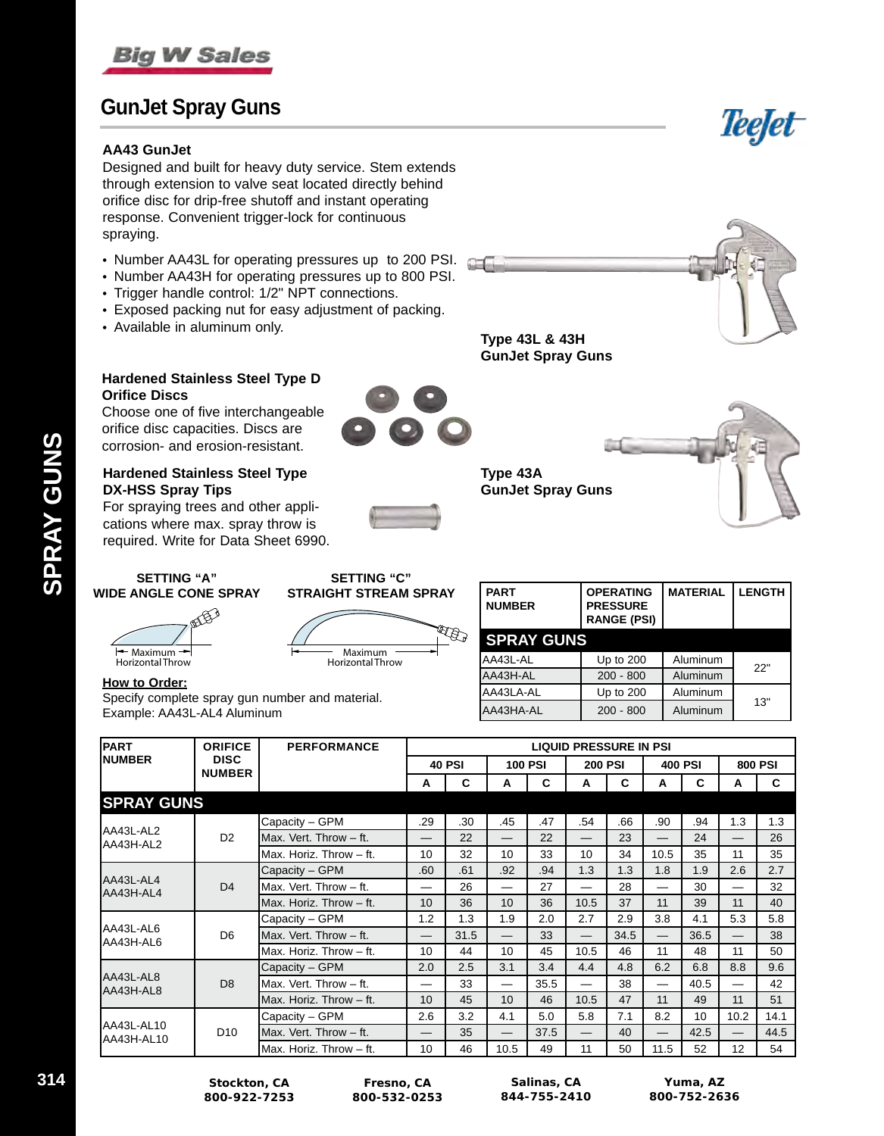

# **GunJet Spray Guns**

### **AA43 GunJet**

Designed and built for heavy duty service. Stem extends through extension to valve seat located directly behind orifice disc for drip-free shutoff and instant operating response. Convenient trigger-lock for continuous spraying.

- Number AA43L for operating pressures up to 200 PSI.
- Number AA43H for operating pressures up to 800 PSI.
- Trigger handle control: 1/2" NPT connections.
- Exposed packing nut for easy adjustment of packing.
- Available in aluminum only.



**OPERATING PRESSURE RANGE (PSI)**

AA43L-AL Up to 200 Aluminum 22" AA43H-AL 200 - 800 Aluminum AA43LA-AL Up to 200 Aluminum AA43HA-AL 200 - 800 Aluminum 13"

**Type 43L & 43H GunJet Spray Guns**

**SPRAY GUNS**

**Type 43A**



Choose one of five interchangeable orifice disc capacities. Discs are corrosion- and erosion-resistant.

### **Hardened Stainless Steel Type DX-HSS Spray Tips**

For spraying trees and other applications where max. spray throw is required. Write for Data Sheet 6990.





**MATERIAL LENGTH**

Teefet

**SETTING "C" STRAIGHT STREAM SPRAY**

> Maximum Horizontal Throw



**SETTING "A"**

### **How to Order:**

Specify complete spray gun number and material. Example: AA43L-AL4 Aluminum

| <b>PART</b>                              | <b>ORIFICE</b>           | <b>PERFORMANCE</b>      | <b>LIQUID PRESSURE IN PSI</b>   |      |                          |                |                          |                |                          |                |      |      |
|------------------------------------------|--------------------------|-------------------------|---------------------------------|------|--------------------------|----------------|--------------------------|----------------|--------------------------|----------------|------|------|
| <b>INUMBER</b><br><b>DISC</b>            |                          |                         | <b>40 PSI</b><br><b>100 PSI</b> |      |                          | <b>200 PSI</b> |                          | <b>400 PSI</b> |                          | <b>800 PSI</b> |      |      |
| <b>NUMBER</b>                            |                          |                         | A                               | C    | A                        | C              | A                        | C              | A                        | C              | A    | C    |
| <b>SPRAY GUNS</b>                        |                          |                         |                                 |      |                          |                |                          |                |                          |                |      |      |
|                                          |                          | Capacity - GPM          | .29                             | .30  | .45                      | .47            | .54                      | .66            | .90                      | .94            | 1.3  | 1.3  |
| AA43L-AL2<br>AA43H-AL2                   | D <sub>2</sub>           | Max. Vert. Throw - ft.  |                                 | 22   | $\overline{\phantom{0}}$ | 22             | $\overline{\phantom{0}}$ | 23             | —                        | 24             | —    | 26   |
|                                          | lMax. Horiz. Throw – ft. | 10                      | 32                              | 10   | 33                       | 10             | 34                       | 10.5           | 35                       | 11             | 35   |      |
| AA43L-AL4<br>D <sub>4</sub><br>AA43H-AL4 | Capacity - GPM           | .60                     | .61                             | .92  | .94                      | 1.3            | 1.3                      | 1.8            | 1.9                      | 2.6            | 2.7  |      |
|                                          |                          | Max. Vert. Throw - ft.  |                                 | 26   | $\overline{\phantom{0}}$ | 27             |                          | 28             | $\overline{\phantom{0}}$ | 30             |      | 32   |
|                                          |                          | Max. Horiz. Throw - ft. | 10                              | 36   | 10                       | 36             | 10.5                     | 37             | 11                       | 39             | 11   | 40   |
|                                          | Capacity - GPM           | 1.2                     | 1.3                             | 1.9  | 2.0                      | 2.7            | 2.9                      | 3.8            | 4.1                      | 5.3            | 5.8  |      |
| AA43L-AL6<br>AA43H-AL6                   | D <sub>6</sub>           | Max. Vert. Throw - ft.  |                                 | 31.5 | $\qquad \qquad -$        | 33             | $\overline{\phantom{0}}$ | 34.5           | $\qquad \qquad -$        | 36.5           |      | 38   |
|                                          | IMax. Horiz. Throw – ft. | 10                      | 44                              | 10   | 45                       | 10.5           | 46                       | 11             | 48                       | 11             | 50   |      |
|                                          | Capacity - GPM           | 2.0                     | 2.5                             | 3.1  | 3.4                      | 4.4            | 4.8                      | 6.2            | 6.8                      | 8.8            | 9.6  |      |
| AA43L-AL8<br>AA43H-AL8                   | D <sub>8</sub>           | Max. Vert. Throw – ft.  | —                               | 33   | $\overline{\phantom{0}}$ | 35.5           | —                        | 38             | $\qquad \qquad$          | 40.5           | —    | 42   |
|                                          |                          | Max. Horiz. Throw - ft. | 10                              | 45   | 10                       | 46             | 10.5                     | 47             | 11                       | 49             | 11   | 51   |
|                                          |                          | Capacity - GPM          | 2.6                             | 3.2  | 4.1                      | 5.0            | 5.8                      | 7.1            | 8.2                      | 10             | 10.2 | 14.1 |
| AA43L-AL10<br>AA43H-AL10                 | D <sub>10</sub>          | Max. Vert. Throw - ft.  |                                 | 35   | $\overline{\phantom{0}}$ | 37.5           |                          | 40             |                          | 42.5           |      | 44.5 |
|                                          | IMax. Horiz. Throw – ft. | 10                      | 46                              | 10.5 | 49                       | 11             | 50                       | 11.5           | 52                       | 12             | 54   |      |

IL B

**WIDE ANGLE CONE SPRAY**

**314 Stockton, CA 800-922-7253**

**Fresno, CA 800-532-0253**

**Salinas, CA 844-755-2410**

| <b>SETTING "C"</b>  |               |
|---------------------|---------------|
| AIGHT STREAM SPRAY! | I PART        |
|                     | <b>NUMBER</b> |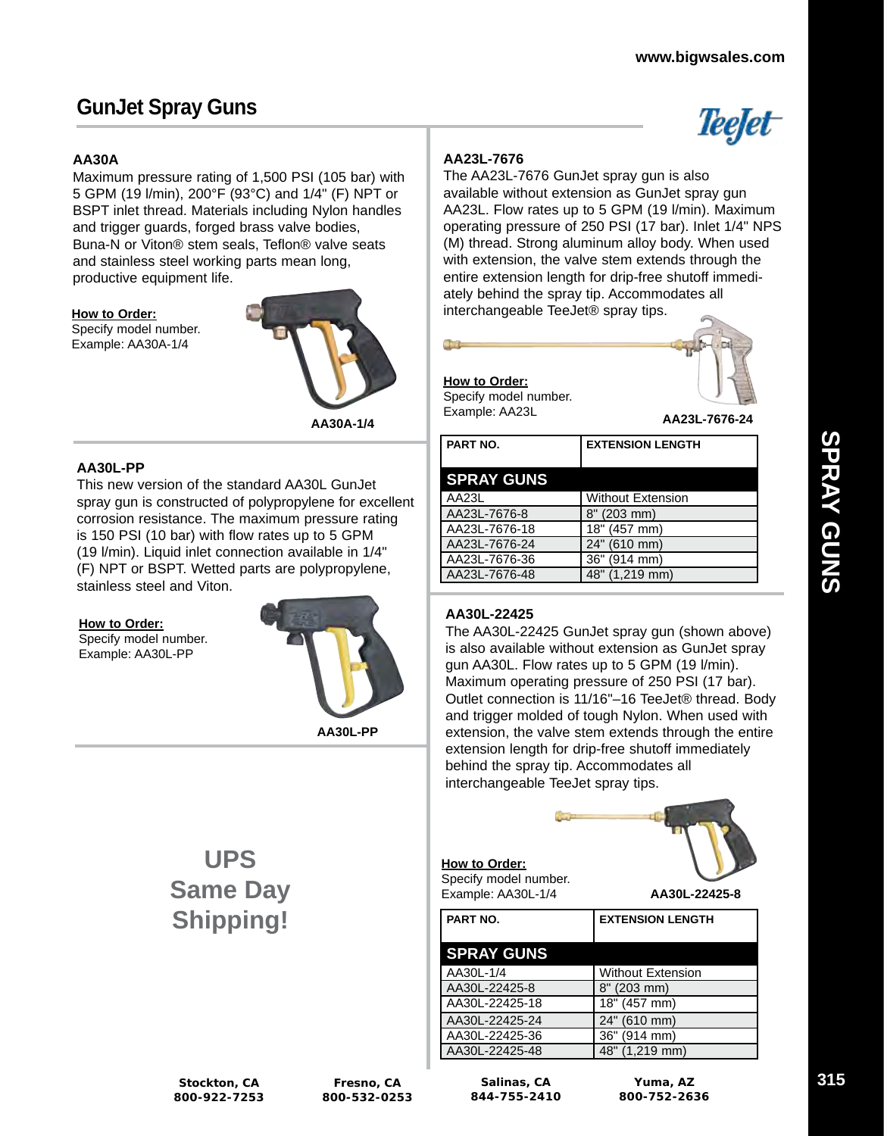Teefet

# **GunJet Spray Guns**

## **AA30A**

Maximum pressure rating of 1,500 PSI (105 bar) with 5 GPM (19 l/min), 200°F (93°C) and 1/4" (F) NPT or BSPT inlet thread. Materials including Nylon handles and trigger guards, forged brass valve bodies, Buna-N or Viton® stem seals, Teflon® valve seats and stainless steel working parts mean long, productive equipment life.

### **How to Order:**

Specify model number. Example: AA30A-1/4



**AA30A-1/4**

### **AA30L-PP**

This new version of the standard AA30L GunJet spray gun is constructed of polypropylene for excellent corrosion resistance. The maximum pressure rating is 150 PSI (10 bar) with flow rates up to 5 GPM (19 l/min). Liquid inlet connection available in 1/4" (F) NPT or BSPT. Wetted parts are polypropylene, stainless steel and Viton.

### **How to Order:**

Specify model number. Example: AA30L-PP



**AA30L-PP**

# **AA23L-7676**

The AA23L-7676 GunJet spray gun is also available without extension as GunJet spray gun AA23L. Flow rates up to 5 GPM (19 l/min). Maximum operating pressure of 250 PSI (17 bar). Inlet 1/4" NPS (M) thread. Strong aluminum alloy body. When used with extension, the valve stem extends through the entire extension length for drip-free shutoff immediately behind the spray tip. Accommodates all interchangeable TeeJet® spray tips.

**How to Order:** Specify model number. Example: AA23L



**AA23L-7676-24**

| PART NO.          | <b>EXTENSION LENGTH</b>  |
|-------------------|--------------------------|
| <b>SPRAY GUNS</b> |                          |
| AA23L             | <b>Without Extension</b> |
| AA23L-7676-8      | 8" (203 mm)              |
| AA23L-7676-18     | 18" (457 mm)             |
| AA23L-7676-24     | 24" (610 mm)             |
| AA23L-7676-36     | 36" (914 mm)             |
| AA23L-7676-48     | 48" (1,219 mm)           |

## **AA30L-22425**

**How to Order:** Specify model number.

The AA30L-22425 GunJet spray gun (shown above) is also available without extension as GunJet spray gun AA30L. Flow rates up to 5 GPM (19 l/min). Maximum operating pressure of 250 PSI (17 bar). Outlet connection is 11/16"–16 TeeJet® thread. Body and trigger molded of tough Nylon. When used with extension, the valve stem extends through the entire extension length for drip-free shutoff immediately behind the spray tip. Accommodates all interchangeable TeeJet spray tips.

# **UPS Same Day Shipping!**

| Example: AA30L-1/4 | AA30L-22425-8            |
|--------------------|--------------------------|
| PART NO.           | <b>EXTENSION LENGTH</b>  |
| <b>SPRAY GUNS</b>  |                          |
| AA30L-1/4          | <b>Without Extension</b> |
| AA30L-22425-8      | 8" (203 mm)              |
| AA30L-22425-18     | 18" (457 mm)             |
| AA30L-22425-24     | 24" (610 mm)             |
| AA30L-22425-36     | 36" (914 mm)             |
| AA30L-22425-48     | 48" (1,219 mm)           |

**Salinas, CA 844-755-2410**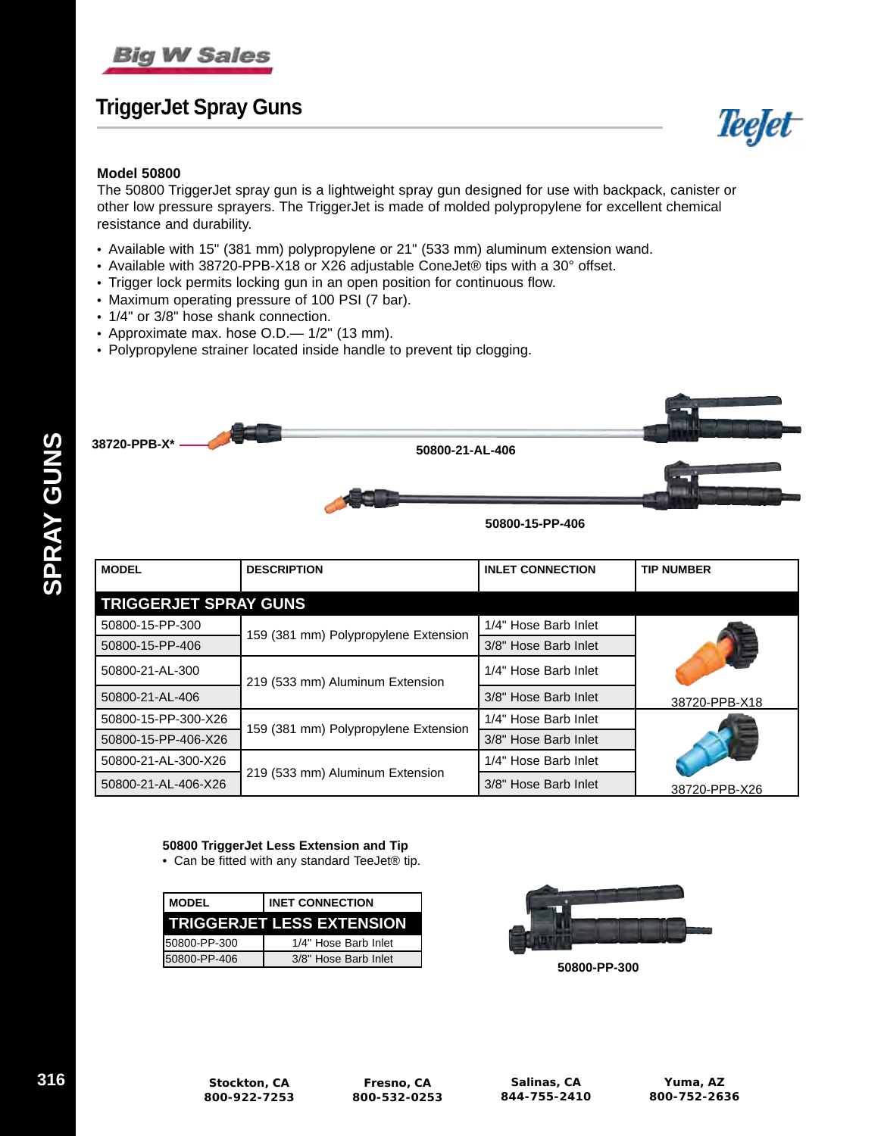

# **TriggerJet Spray Guns**



The 50800 TriggerJet spray gun is a lightweight spray gun designed for use with backpack, canister or other low pressure sprayers. The TriggerJet is made of molded polypropylene for excellent chemical resistance and durability.

- Available with 15" (381 mm) polypropylene or 21" (533 mm) aluminum extension wand.
- Available with 38720-PPB-X18 or X26 adjustable ConeJet® tips with a 30° offset.
- Trigger lock permits locking gun in an open position for continuous flow.
- Maximum operating pressure of 100 PSI (7 bar).
- 1/4" or 3/8" hose shank connection.
- Approximate max. hose O.D.— 1/2" (13 mm).
- Polypropylene strainer located inside handle to prevent tip clogging.



| <b>MODEL</b>                 | <b>DESCRIPTION</b>                   | <b>INLET CONNECTION</b> | <b>TIP NUMBER</b> |
|------------------------------|--------------------------------------|-------------------------|-------------------|
| <b>TRIGGERJET SPRAY GUNS</b> |                                      |                         |                   |
| 50800-15-PP-300              |                                      | 1/4" Hose Barb Inlet    |                   |
| 50800-15-PP-406              | 159 (381 mm) Polypropylene Extension | 3/8" Hose Barb Inlet    |                   |
| 50800-21-AL-300              | 219 (533 mm) Aluminum Extension      | 1/4" Hose Barb Inlet    |                   |
| 50800-21-AL-406              |                                      | 3/8" Hose Barb Inlet    | 38720-PPB-X18     |
| 50800-15-PP-300-X26          | 159 (381 mm) Polypropylene Extension | 1/4" Hose Barb Inlet    |                   |
| 50800-15-PP-406-X26          |                                      | 3/8" Hose Barb Inlet    |                   |
| 50800-21-AL-300-X26          |                                      | 1/4" Hose Barb Inlet    |                   |
| 50800-21-AL-406-X26          | 219 (533 mm) Aluminum Extension      | 3/8" Hose Barb Inlet    | 38720-PPB-X26     |

### **50800 TriggerJet Less Extension and Tip**

• Can be fitted with any standard TeeJet® tip.

| <b>MODEL</b>  | <b>INET CONNECTION</b>           |
|---------------|----------------------------------|
|               | <b>TRIGGERJET LESS EXTENSION</b> |
| I50800-PP-300 | 1/4" Hose Barb Inlet             |
| 50800-PP-406  | 3/8" Hose Barb Inlet             |



**50800-PP-300**

**SPRAY GUNS**

**SPRAY GUNS** 

**Teefet**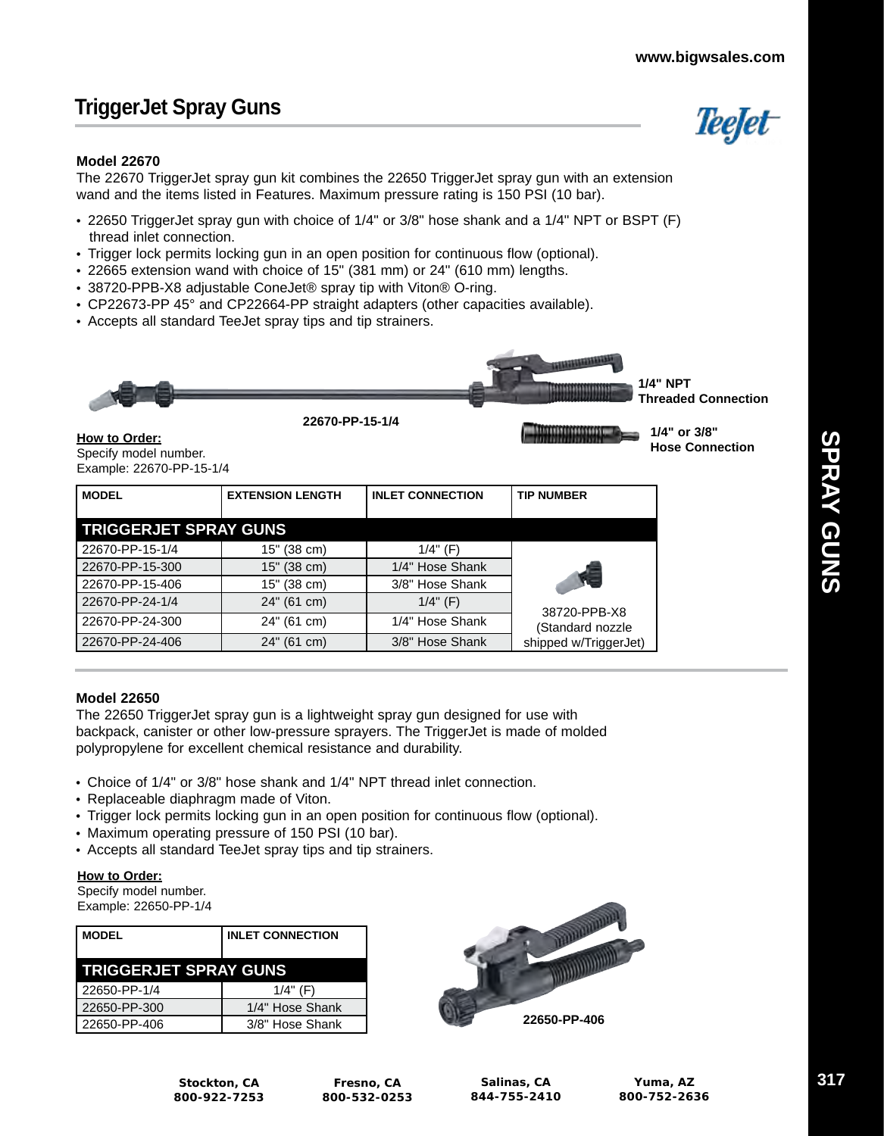*Teefet* 

**Hose Connection**

# **TriggerJet Spray Guns**

### **Model 22670**

The 22670 TriggerJet spray gun kit combines the 22650 TriggerJet spray gun with an extension wand and the items listed in Features. Maximum pressure rating is 150 PSI (10 bar).

- 22650 TriggerJet spray gun with choice of 1/4" or 3/8" hose shank and a 1/4" NPT or BSPT (F) thread inlet connection.
- Trigger lock permits locking gun in an open position for continuous flow (optional).
- 22665 extension wand with choice of 15" (381 mm) or 24" (610 mm) lengths.
- 38720-PPB-X8 adjustable ConeJet® spray tip with Viton® O-ring.
- CP22673-PP 45° and CP22664-PP straight adapters (other capacities available).
- Accepts all standard TeeJet spray tips and tip strainers.



**How to Order:** Specify model number. Example: 22670-PP-15-1/4

| <b>MODEL</b>                 | <b>EXTENSION LENGTH</b> | <b>INLET CONNECTION</b> | <b>TIP NUMBER</b>     |
|------------------------------|-------------------------|-------------------------|-----------------------|
| <b>TRIGGERJET SPRAY GUNS</b> |                         |                         |                       |
| 22670-PP-15-1/4              | 15" (38 cm)             | 1/4" (F)                |                       |
| 22670-PP-15-300              | 15" (38 cm)             | 1/4" Hose Shank         |                       |
| 22670-PP-15-406              | 15" (38 cm)             | 3/8" Hose Shank         |                       |
| 22670-PP-24-1/4              | 24" (61 cm)             | $1/4$ " (F)             | 38720-PPB-X8          |
| 22670-PP-24-300              | 24" (61 cm)             | 1/4" Hose Shank         | (Standard nozzle      |
| 22670-PP-24-406              | 24" (61 cm)             | 3/8" Hose Shank         | shipped w/TriggerJet) |

### **Model 22650**

The 22650 TriggerJet spray gun is a lightweight spray gun designed for use with backpack, canister or other low-pressure sprayers. The TriggerJet is made of molded polypropylene for excellent chemical resistance and durability.

- Choice of 1/4" or 3/8" hose shank and 1/4" NPT thread inlet connection.
- Replaceable diaphragm made of Viton.
- Trigger lock permits locking gun in an open position for continuous flow (optional).
- Maximum operating pressure of 150 PSI (10 bar).
- Accepts all standard TeeJet spray tips and tip strainers.

### **How to Order:**

Specify model number.

Example: 22650-PP-1/4

| <b>MODEL</b>                 | <b>INLET CONNECTION</b> |  |  |
|------------------------------|-------------------------|--|--|
| <b>TRIGGERJET SPRAY GUNS</b> |                         |  |  |
| 22650-PP-1/4                 | $1/4$ " (F)             |  |  |
| 22650-PP-300                 | 1/4" Hose Shank         |  |  |
| 22650-PP-406                 | 3/8" Hose Shank         |  |  |



**Salinas, CA 844-755-2410**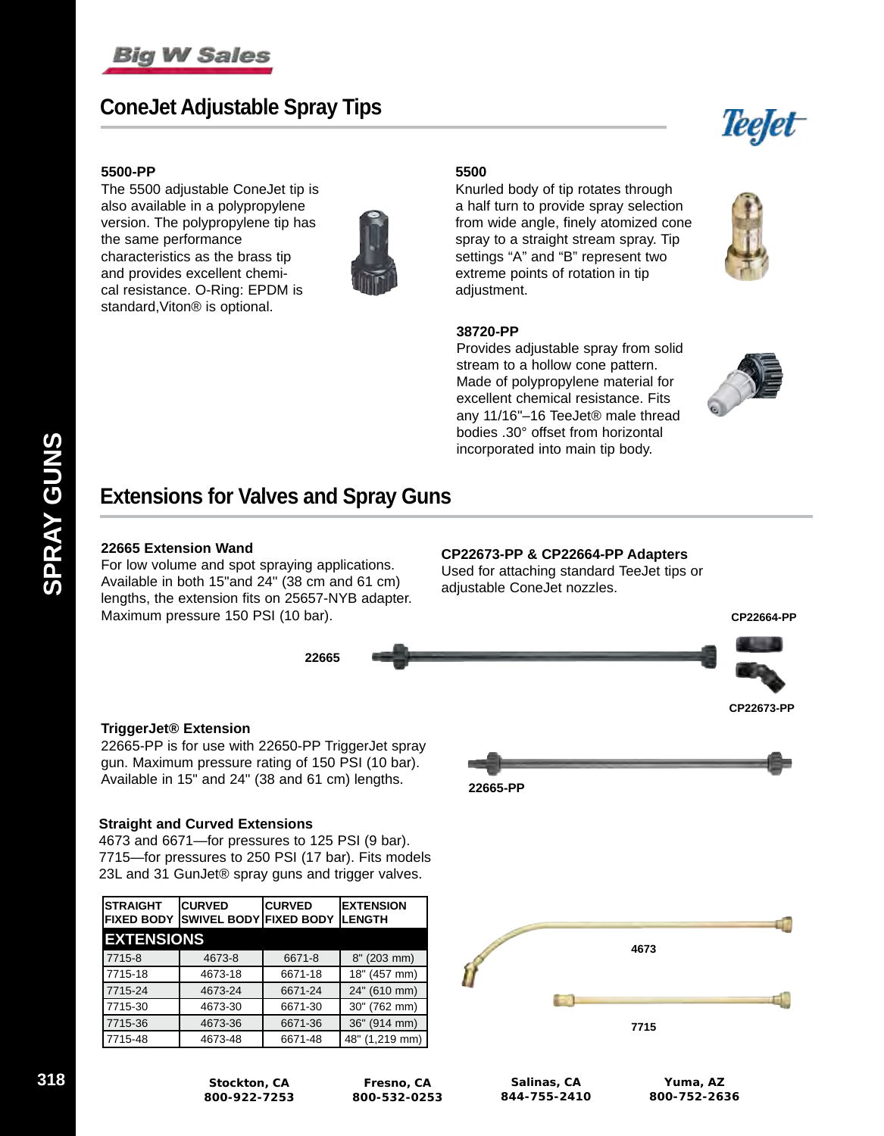

# **ConeJet Adjustable Spray Tips**



### **5500-PP**

The 5500 adjustable ConeJet tip is also available in a polypropylene version. The polypropylene tip has the same performance characteristics as the brass tip and provides excellent chemical resistance. O-Ring: EPDM is standard,Viton® is optional.



### **5500**

Knurled body of tip rotates through a half turn to provide spray selection from wide angle, finely atomized cone spray to a straight stream spray. Tip settings "A" and "B" represent two extreme points of rotation in tip adjustment.



Provides adjustable spray from solid stream to a hollow cone pattern. Made of polypropylene material for excellent chemical resistance. Fits any 11/16"–16 TeeJet® male thread bodies .30° offset from horizontal incorporated into main tip body.



# **Extensions for Valves and Spray Guns**

### **22665 Extension Wand**

For low volume and spot spraying applications. Available in both 15"and 24" (38 cm and 61 cm) lengths, the extension fits on 25657-NYB adapter. Maximum pressure 150 PSI (10 bar).

### **CP22673-PP & CP22664-PP Adapters**

Used for attaching standard TeeJet tips or adjustable ConeJet nozzles.



### **TriggerJet® Extension**

22665-PP is for use with 22650-PP TriggerJet spray gun. Maximum pressure rating of 150 PSI (10 bar). Available in 15" and 24" (38 and 61 cm) lengths. **22665-PP**

### **Straight and Curved Extensions**

4673 and 6671—for pressures to 125 PSI (9 bar). 7715—for pressures to 250 PSI (17 bar). Fits models 23L and 31 GunJet® spray guns and trigger valves.

| ISTRAIGHT         | <b>CURVED</b><br>FIXED BODY  SWIVEL BODY  FIXED BODY | <b>CURVED</b> | <b>EXTENSION</b><br><b>ILENGTH</b> |  |  |  |  |
|-------------------|------------------------------------------------------|---------------|------------------------------------|--|--|--|--|
| <b>EXTENSIONS</b> |                                                      |               |                                    |  |  |  |  |
| 7715-8            | 4673-8                                               | 6671-8        | 8" (203 mm)                        |  |  |  |  |
| 7715-18           | 4673-18                                              | 6671-18       | 18" (457 mm)                       |  |  |  |  |
| 7715-24           | 4673-24                                              | 6671-24       | 24" (610 mm)                       |  |  |  |  |
| 7715-30           | 4673-30                                              | 6671-30       | 30" (762 mm)                       |  |  |  |  |
| 7715-36           | 4673-36                                              | 6671-36       | 36" (914 mm)                       |  |  |  |  |
| 17715-48          | 4673-48                                              | 6671-48       | 48" (1,219 mm)                     |  |  |  |  |

**800-922-7253**





**Fresno, CA 800-532-0253**

**Salinas, CA 844-755-2410**